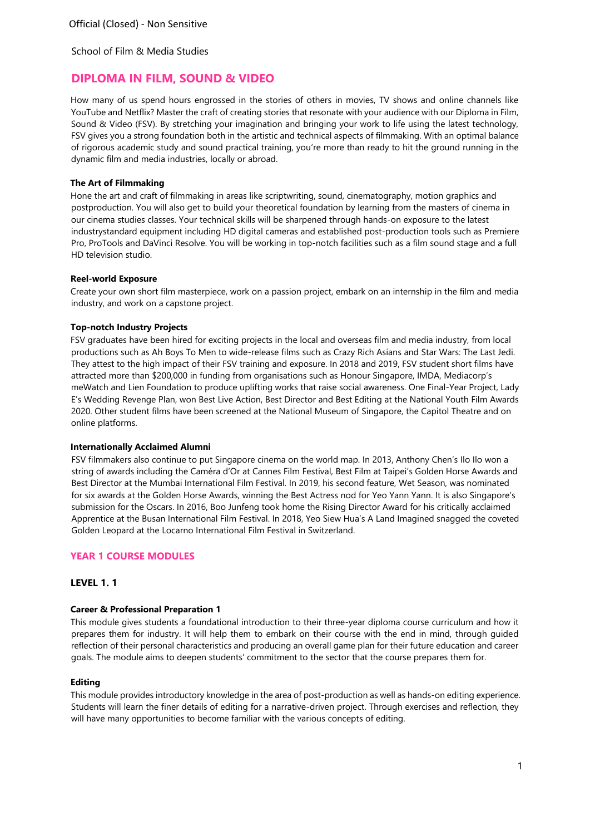# **DIPLOMA IN FILM, SOUND & VIDEO**

How many of us spend hours engrossed in the stories of others in movies, TV shows and online channels like YouTube and Netflix? Master the craft of creating stories that resonate with your audience with our Diploma in Film, Sound & Video (FSV). By stretching your imagination and bringing your work to life using the latest technology, FSV gives you a strong foundation both in the artistic and technical aspects of filmmaking. With an optimal balance of rigorous academic study and sound practical training, you're more than ready to hit the ground running in the dynamic film and media industries, locally or abroad.

# **The Art of Filmmaking**

Hone the art and craft of filmmaking in areas like scriptwriting, sound, cinematography, motion graphics and postproduction. You will also get to build your theoretical foundation by learning from the masters of cinema in our cinema studies classes. Your technical skills will be sharpened through hands-on exposure to the latest industrystandard equipment including HD digital cameras and established post-production tools such as Premiere Pro, ProTools and DaVinci Resolve. You will be working in top-notch facilities such as a film sound stage and a full HD television studio.

# **Reel-world Exposure**

Create your own short film masterpiece, work on a passion project, embark on an internship in the film and media industry, and work on a capstone project.

# **Top-notch Industry Projects**

FSV graduates have been hired for exciting projects in the local and overseas film and media industry, from local productions such as Ah Boys To Men to wide-release films such as Crazy Rich Asians and Star Wars: The Last Jedi. They attest to the high impact of their FSV training and exposure. In 2018 and 2019, FSV student short films have attracted more than \$200,000 in funding from organisations such as Honour Singapore, IMDA, Mediacorp's meWatch and Lien Foundation to produce uplifting works that raise social awareness. One Final-Year Project, Lady E's Wedding Revenge Plan, won Best Live Action, Best Director and Best Editing at the National Youth Film Awards 2020. Other student films have been screened at the National Museum of Singapore, the Capitol Theatre and on online platforms.

#### **Internationally Acclaimed Alumni**

FSV filmmakers also continue to put Singapore cinema on the world map. In 2013, Anthony Chen's Ilo Ilo won a string of awards including the Caméra d'Or at Cannes Film Festival, Best Film at Taipei's Golden Horse Awards and Best Director at the Mumbai International Film Festival. In 2019, his second feature, Wet Season, was nominated for six awards at the Golden Horse Awards, winning the Best Actress nod for Yeo Yann Yann. It is also Singapore's submission for the Oscars. In 2016, Boo Junfeng took home the Rising Director Award for his critically acclaimed Apprentice at the Busan International Film Festival. In 2018, Yeo Siew Hua's A Land Imagined snagged the coveted Golden Leopard at the Locarno International Film Festival in Switzerland.

# **YEAR 1 COURSE MODULES**

# **LEVEL 1. 1**

#### **Career & Professional Preparation 1**

This module gives students a foundational introduction to their three-year diploma course curriculum and how it prepares them for industry. It will help them to embark on their course with the end in mind, through guided reflection of their personal characteristics and producing an overall game plan for their future education and career goals. The module aims to deepen students' commitment to the sector that the course prepares them for.

### **Editing**

This module provides introductory knowledge in the area of post-production as well as hands-on editing experience. Students will learn the finer details of editing for a narrative-driven project. Through exercises and reflection, they will have many opportunities to become familiar with the various concepts of editing.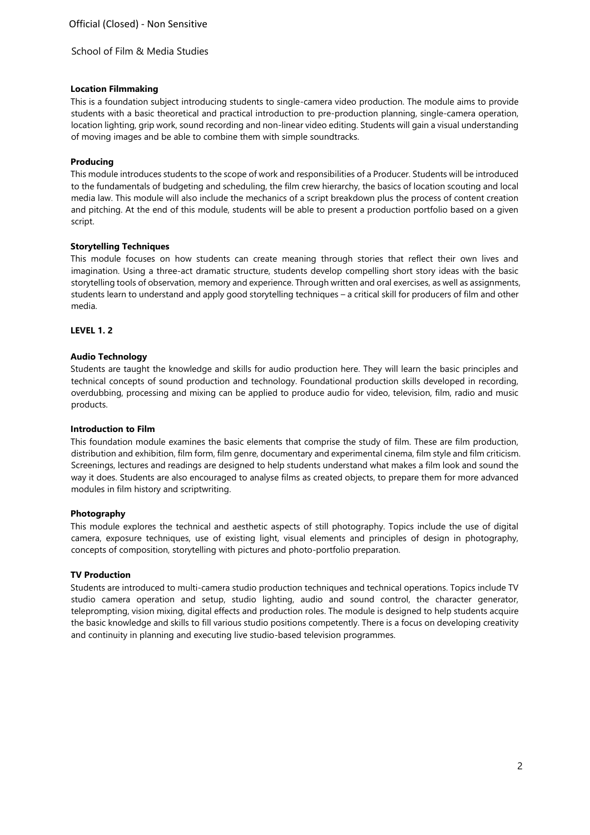## **Location Filmmaking**

This is a foundation subject introducing students to single-camera video production. The module aims to provide students with a basic theoretical and practical introduction to pre-production planning, single-camera operation, location lighting, grip work, sound recording and non-linear video editing. Students will gain a visual understanding of moving images and be able to combine them with simple soundtracks.

## **Producing**

This module introduces students to the scope of work and responsibilities of a Producer. Students will be introduced to the fundamentals of budgeting and scheduling, the film crew hierarchy, the basics of location scouting and local media law. This module will also include the mechanics of a script breakdown plus the process of content creation and pitching. At the end of this module, students will be able to present a production portfolio based on a given script.

## **Storytelling Techniques**

This module focuses on how students can create meaning through stories that reflect their own lives and imagination. Using a three-act dramatic structure, students develop compelling short story ideas with the basic storytelling tools of observation, memory and experience. Through written and oral exercises, as well as assignments, students learn to understand and apply good storytelling techniques – a critical skill for producers of film and other media.

## **LEVEL 1. 2**

## **Audio Technology**

Students are taught the knowledge and skills for audio production here. They will learn the basic principles and technical concepts of sound production and technology. Foundational production skills developed in recording, overdubbing, processing and mixing can be applied to produce audio for video, television, film, radio and music products.

### **Introduction to Film**

This foundation module examines the basic elements that comprise the study of film. These are film production, distribution and exhibition, film form, film genre, documentary and experimental cinema, film style and film criticism. Screenings, lectures and readings are designed to help students understand what makes a film look and sound the way it does. Students are also encouraged to analyse films as created objects, to prepare them for more advanced modules in film history and scriptwriting.

#### **Photography**

This module explores the technical and aesthetic aspects of still photography. Topics include the use of digital camera, exposure techniques, use of existing light, visual elements and principles of design in photography, concepts of composition, storytelling with pictures and photo-portfolio preparation.

# **TV Production**

Students are introduced to multi-camera studio production techniques and technical operations. Topics include TV studio camera operation and setup, studio lighting, audio and sound control, the character generator, teleprompting, vision mixing, digital effects and production roles. The module is designed to help students acquire the basic knowledge and skills to fill various studio positions competently. There is a focus on developing creativity and continuity in planning and executing live studio-based television programmes.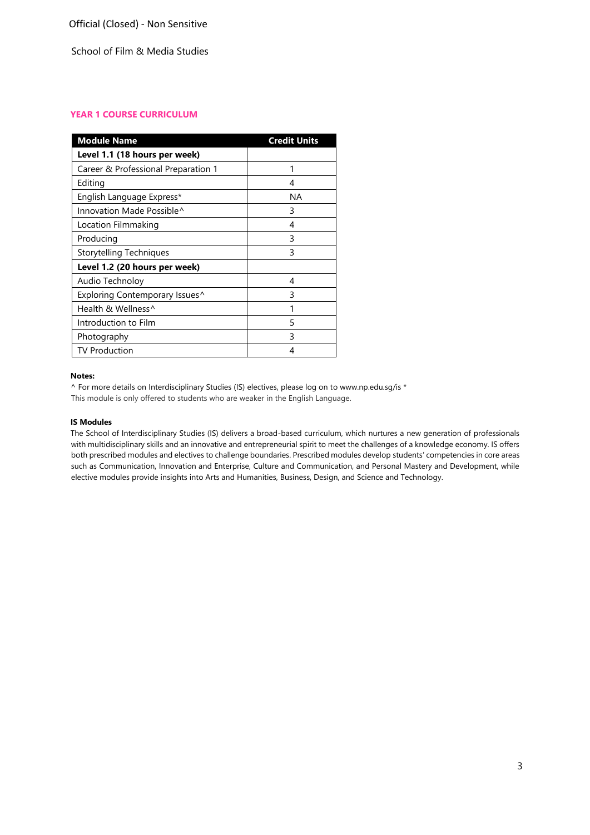# **YEAR 1 COURSE CURRICULUM**

| <b>Module Name</b>                  | <b>Credit Units</b> |
|-------------------------------------|---------------------|
| Level 1.1 (18 hours per week)       |                     |
| Career & Professional Preparation 1 | 1                   |
| Editing                             | 4                   |
| English Language Express*           | ΝA                  |
| Innovation Made Possible^           | 3                   |
| Location Filmmaking                 | 4                   |
| Producing                           | 3                   |
| Storytelling Techniques             | 3                   |
| Level 1.2 (20 hours per week)       |                     |
| Audio Technoloy                     | 4                   |
| Exploring Contemporary Issues^      | 3                   |
| Health & Wellness^                  | 1                   |
| Introduction to Film                | 5                   |
| Photography                         | 3                   |
| <b>TV Production</b>                | 4                   |

#### **Notes:**

^ For more details on Interdisciplinary Studies (IS) electives, please log on [to www.np.edu.sg/is](http://www.np.edu.sg/is) \* This module is only offered to students who are weaker in the English Language.

## **IS Modules**

The School of Interdisciplinary Studies (IS) delivers a broad-based curriculum, which nurtures a new generation of professionals with multidisciplinary skills and an innovative and entrepreneurial spirit to meet the challenges of a knowledge economy. IS offers both prescribed modules and electives to challenge boundaries. Prescribed modules develop students' competencies in core areas such as Communication, Innovation and Enterprise, Culture and Communication, and Personal Mastery and Development, while elective modules provide insights into Arts and Humanities, Business, Design, and Science and Technology.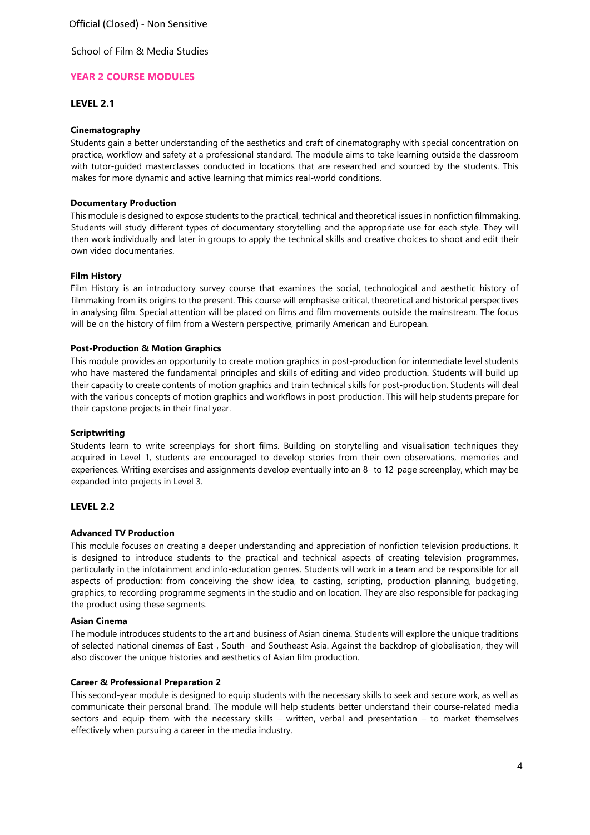Official (Closed) - Non Sensitive

School of Film & Media Studies

# **YEAR 2 COURSE MODULES**

# **LEVEL 2.1**

## **Cinematography**

Students gain a better understanding of the aesthetics and craft of cinematography with special concentration on practice, workflow and safety at a professional standard. The module aims to take learning outside the classroom with tutor-guided masterclasses conducted in locations that are researched and sourced by the students. This makes for more dynamic and active learning that mimics real-world conditions.

### **Documentary Production**

This module is designed to expose students to the practical, technical and theoretical issues in nonfiction filmmaking. Students will study different types of documentary storytelling and the appropriate use for each style. They will then work individually and later in groups to apply the technical skills and creative choices to shoot and edit their own video documentaries.

#### **Film History**

Film History is an introductory survey course that examines the social, technological and aesthetic history of filmmaking from its origins to the present. This course will emphasise critical, theoretical and historical perspectives in analysing film. Special attention will be placed on films and film movements outside the mainstream. The focus will be on the history of film from a Western perspective, primarily American and European.

## **Post-Production & Motion Graphics**

This module provides an opportunity to create motion graphics in post-production for intermediate level students who have mastered the fundamental principles and skills of editing and video production. Students will build up their capacity to create contents of motion graphics and train technical skills for post-production. Students will deal with the various concepts of motion graphics and workflows in post-production. This will help students prepare for their capstone projects in their final year.

#### **Scriptwriting**

Students learn to write screenplays for short films. Building on storytelling and visualisation techniques they acquired in Level 1, students are encouraged to develop stories from their own observations, memories and experiences. Writing exercises and assignments develop eventually into an 8- to 12-page screenplay, which may be expanded into projects in Level 3.

# **LEVEL 2.2**

#### **Advanced TV Production**

This module focuses on creating a deeper understanding and appreciation of nonfiction television productions. It is designed to introduce students to the practical and technical aspects of creating television programmes, particularly in the infotainment and info-education genres. Students will work in a team and be responsible for all aspects of production: from conceiving the show idea, to casting, scripting, production planning, budgeting, graphics, to recording programme segments in the studio and on location. They are also responsible for packaging the product using these segments.

#### **Asian Cinema**

The module introduces students to the art and business of Asian cinema. Students will explore the unique traditions of selected national cinemas of East-, South- and Southeast Asia. Against the backdrop of globalisation, they will also discover the unique histories and aesthetics of Asian film production.

#### **Career & Professional Preparation 2**

This second-year module is designed to equip students with the necessary skills to seek and secure work, as well as communicate their personal brand. The module will help students better understand their course-related media sectors and equip them with the necessary skills – written, verbal and presentation – to market themselves effectively when pursuing a career in the media industry.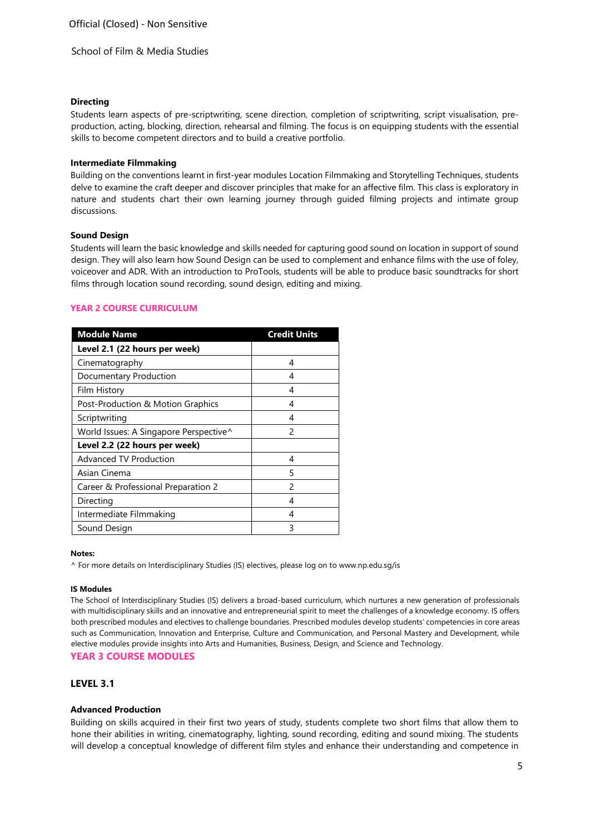## **Directing**

Students learn aspects of pre-scriptwriting, scene direction, completion of scriptwriting, script visualisation, preproduction, acting, blocking, direction, rehearsal and filming. The focus is on equipping students with the essential skills to become competent directors and to build a creative portfolio.

## **Intermediate Filmmaking**

Building on the conventions learnt in first-year modules Location Filmmaking and Storytelling Techniques, students delve to examine the craft deeper and discover principles that make for an affective film. This class is exploratory in nature and students chart their own learning journey through guided filming projects and intimate group discussions.

## **Sound Design**

Students will learn the basic knowledge and skills needed for capturing good sound on location in support of sound design. They will also learn how Sound Design can be used to complement and enhance films with the use of foley, voiceover and ADR. With an introduction to ProTools, students will be able to produce basic soundtracks for short films through location sound recording, sound design, editing and mixing.

# **YEAR 2 COURSE CURRICULUM**

| <b>Module Name</b>                     | <b>Credit Units</b> |
|----------------------------------------|---------------------|
| Level 2.1 (22 hours per week)          |                     |
| Cinematography                         | 4                   |
| Documentary Production                 | 4                   |
| Film History                           | 4                   |
| Post-Production & Motion Graphics      | 4                   |
| Scriptwriting                          | 4                   |
| World Issues: A Singapore Perspective^ | $\mathcal{P}$       |
| Level 2.2 (22 hours per week)          |                     |
| <b>Advanced TV Production</b>          | 4                   |
| Asian Cinema                           | 5                   |
| Career & Professional Preparation 2    | 2                   |
| Directing                              | 4                   |
| Intermediate Filmmaking                | 4                   |
| Sound Design                           | 3                   |

#### **Notes:**

^ For more details on Interdisciplinary Studies (IS) electives, please log on [to www.np.edu.sg/is](http://www.np.edu.sg/is)

#### **IS Modules**

The School of Interdisciplinary Studies (IS) delivers a broad-based curriculum, which nurtures a new generation of professionals with multidisciplinary skills and an innovative and entrepreneurial spirit to meet the challenges of a knowledge economy. IS offers both prescribed modules and electives to challenge boundaries. Prescribed modules develop students' competencies in core areas such as Communication, Innovation and Enterprise, Culture and Communication, and Personal Mastery and Development, while elective modules provide insights into Arts and Humanities, Business, Design, and Science and Technology.

**YEAR 3 COURSE MODULES** 

# **LEVEL 3.1**

# **Advanced Production**

Building on skills acquired in their first two years of study, students complete two short films that allow them to hone their abilities in writing, cinematography, lighting, sound recording, editing and sound mixing. The students will develop a conceptual knowledge of different film styles and enhance their understanding and competence in